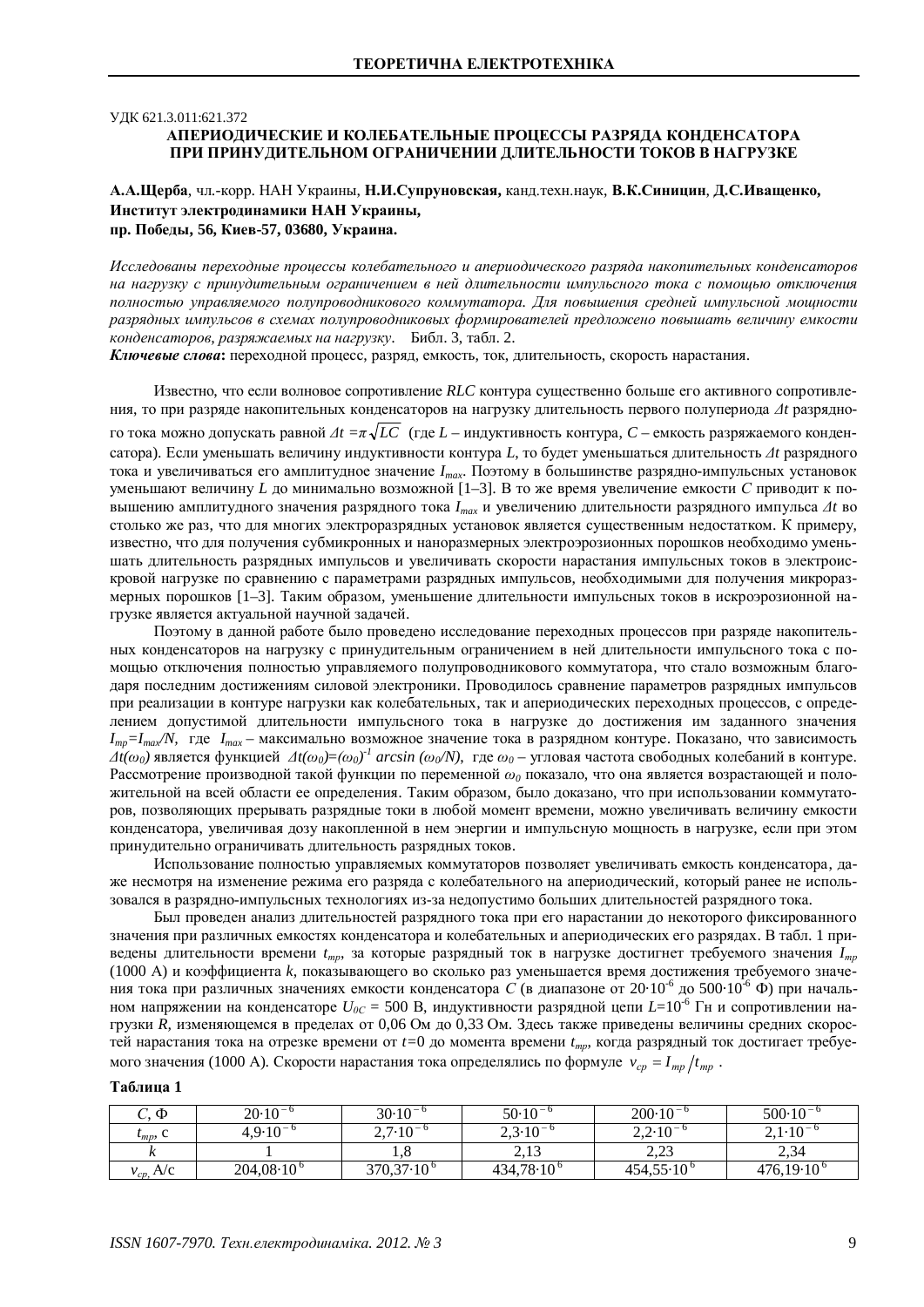## УЛК 621.3.011:621.372 АПЕРИОЛИЧЕСКИЕ И КОЛЕБАТЕЛЬНЫЕ ПРОШЕССЫ РАЗРЯЛА КОНЛЕНСАТОРА ПРИ ПРИНУДИТЕЛЬНОМ ОГРАНИЧЕНИИ ДЛИТЕЛЬНОСТИ ТОКОВ В НАГРУЗКЕ

# А.А.Щерба, чл.-корр. НАН Украины, Н.И.Супруновская, канд.техн.наук, В.К.Синицин, Д.С.Иващенко, Институт электродинамики НАН Украины,

пр. Победы, 56, Киев-57, 03680, Украина.

Исследованы переходные процессы колебательного и апериодического разряда накопительных конденсаторов на нагрузку с принудительным ограничением в ней длительности импульсного тока с помошью отключения полностью управляемого полупроводникового коммутатора. Для повышения средней импульсной мощности разрядных импульсов в схемах полупроводниковых формирователей предложено повышать величину емкости *конденсаторов, разряжаемых на нагрузку.* Библ. 3, табл. 2.

Ключевые слова: переходной процесс, разряд, емкость, ток, длительность, скорость нарастания.

Известно, что если волновое сопротивление RLC контура существенно больше его активного сопротивления, то при разряде накопительных конденсаторов на нагрузку длительность первого полупериода  $\Delta t$  разрядно- $\overline{r}$ о тока можно допускать равной  $\Delta t = \pi \sqrt{LC}$  (где  $L$  – индуктивность контура,  $C$  – емкость разряжаемого конденсатора). Если уменьшать величину индуктивности контура L, то будет уменьшаться длительность  $\Delta t$  разрядного тока и увеличиваться его амплитудное значение  $I_{max}$ . Поэтому в большинстве разрядно-импульсных установок уменьшают величину L до минимально возможной [1–3]. В то же время увеличение емкости C приводит к повышению амплитудного значения разрядного тока  $I_{max}$  и увеличению длительности разрядного импульса  $\Delta t$  во столько же раз, что для многих электроразрядных установок является существенным недостатком. К примеру, известно, что для получения субмикронных и наноразмерных электроэрозионных порошков необходимо уменьшать длительность разрядных импульсов и увеличивать скорости нарастания импульсных токов в электроискровой нагрузке по сравнению с параметрами разрядных импульсов, необходимыми для получения микроразмерных порошков [1-3]. Таким образом, уменьшение длительности импульсных токов в искроэрозионной нагрузке является актуальной научной задачей.

Поэтому в данной работе было проведено исследование переходных процессов при разряде накопительных конденсаторов на нагрузку с принудительным ограничением в ней длительности импульсного тока с помощью отключения полностью управляемого полупроводникового коммутатора, что стало возможным благодаря последним достижениям силовой электроники. Проводилось сравнение параметров разрядных импульсов при реализации в контуре нагрузки как колебательных, так и апериодических переходных процессов, с определением допустимой длительности импульсного тока в нагрузке до достижения им заданного значения  $I_{mn}$ = $I_{max}$ *N,* где  $I_{max}$  – максимально возможное значение тока в разрядном контуре. Показано, что зависимость  $\overline{At(\omega_0)}$  является функцией  $\overline{At(\omega_0)} = (\omega_0)^I$  arcsin ( $\omega_0$ /N), где  $\omega_0$  – угловая частота свободных колебаний в контуре. Рассмотрение производной такой функции по переменной  $\omega_a$  показало, что она является возрастающей и положительной на всей области ее определения. Таким образом, было доказано, что при использовании коммутаторов, позволяющих прерывать разрядные токи в любой момент времени, можно увеличивать величину емкости конденсатора, увеличивая дозу накопленной в нем энергии и импульсную мощность в нагрузке, если при этом принудительно ограничивать длительность разрядных токов.

Использование полностью управляемых коммутаторов позволяет увеличивать емкость конденсатора, даже несмотря на изменение режима его разряда с колебательного на апериодический, который ранее не использовался в разрядно-импульсных технологиях из-за недопустимо больших длительностей разрядного тока.

Был проведен анализ длительностей разрядного тока при его нарастании до некоторого фиксированного значения при различных емкостях конденсатора и колебательных и апериодических его разрядах. В табл. 1 приведены длительности времени  $t_{mn}$ , за которые разрядный ток в нагрузке достигнет требуемого значения  $I_{mn}$ (1000 A) и коэффициента *k*, показывающего во сколько раз уменьшается время достижения требуемого значения тока при различных значениях емкости конденсатора *С* (в диапазоне от 20·10<sup>-6</sup> до 500·10<sup>-6</sup> Ф) при начальном напряжении на конденсаторе  $U_{0C} = 500$  В, индуктивности разрядной цепи  $L=10^{-6}$  Гн и сопротивлении нагрузки R, изменяющемся в пределах от 0,06 Ом до 0,33 Ом. Здесь также приведены величины средних скоростей нарастания тока на отрезке времени от  $t=0$  до момента времени  $t_{mp}$ , когда разрядный ток достигает требуемого значения (1000 A). Скорости нарастания тока определялись по формуле  $v_{cn} = I_{mn}/t_{mn}$ .

## $T_96$ пиня 1

| $C, \Phi$      | $20.10^{-6}$        | $30.10^{-6}$        | $50.10^{-6}$        | $200 \cdot 10^{-6}$   | $500 \cdot 10^{-6}$ |
|----------------|---------------------|---------------------|---------------------|-----------------------|---------------------|
| $t_{mp}$ , C   | $4,9.10^{-6}$       | $2.7 \cdot 10^{-6}$ | $2,3.10^{-6}$       | $2,2.10^{-6}$         | $2,1.10^{-6}$       |
|                |                     |                     | 2,13                | 22<br>ل کہ ک          | 2,34                |
| $v_{cp}$ , A/c | $204,08\cdot10^{6}$ | $370,37.10^6$       | $434,78\cdot10^{6}$ | $454,55 \cdot 10^{6}$ | $476,19.10^{\circ}$ |